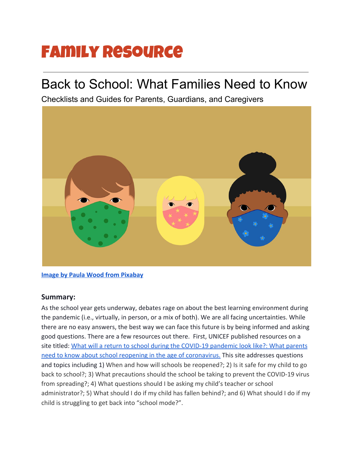## Family Resource

## Back to School: What Families Need to Know

Checklists and Guides for Parents, Guardians, and Caregivers



**[Image by Paula Wood from Pixabay](https://pixabay.com/illustrations/facemask-covid-coronavirus-virus-5071777/)**

## **Summary:**

As the school year gets underway, debates rage on about the best learning environment during the pandemic (i.e., virtually, in person, or a mix of both). We are all facing uncertainties. While there are no easy answers, the best way we can face this future is by being informed and asking good questions. There are a few resources out there. First, UNICEF published resources on a site titled: [What will a return to school during the COVID-19 pandemic look like?: What parents](https://www.unicef.org/coronavirus/what-will-return-school-during-covid-19-pandemic-look?utm_source=facebook&utm_medium=organic&utm_campaign=coronavirus&fbclid=IwAR3jPEcF9lT9uuaROOTipOaW7y9Sp5MbZa4OdcStv3m6VE7LlmfDwMFEkTI) [need to know about school reopening in the age of coronavirus.](https://www.unicef.org/coronavirus/what-will-return-school-during-covid-19-pandemic-look?utm_source=facebook&utm_medium=organic&utm_campaign=coronavirus&fbclid=IwAR3jPEcF9lT9uuaROOTipOaW7y9Sp5MbZa4OdcStv3m6VE7LlmfDwMFEkTI) This site addresses questions and topics including 1) When and how will schools be reopened?; 2) Is it safe for my child to go back to school?; 3) What precautions should the school be taking to prevent the COVID-19 virus from spreading?; 4) What questions should I be asking my child's teacher or school administrator?; 5) What should I do if my child has fallen behind?; and 6) What should I do if my child is struggling to get back into "school mode?".